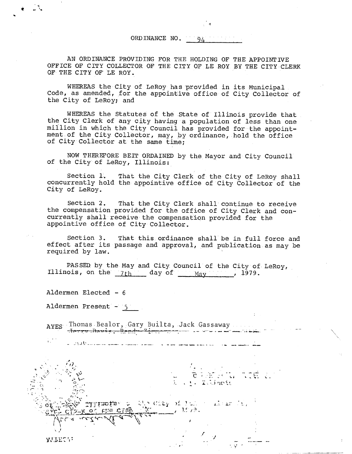ORD INANCE NO.  $94$ 

AN ORDINANCE PROVIDING FOR THE HOLDING OF THE APPOINTIVE OFFICE OF CITY COLLECTOR OF THE CITY OF LE ROY BY THE CITY CLERK OF THE CITY OF LE ROY.

WHEREAS the City of LeRoy has provided in its Municipal Code, as amended, for the appointive office of City Collector of the City of LeRoy; and

WHEREAS the Statutes of the State of Illinois provide that the City Clerk of any city having a population of less than one million in which the City Council has provided for the appointment of the City Collector, may, by ordinance, hold the office of City Collector at the same time;

NOW THEREFORE BEIT ORDAINED by the Mayor and City Council of the City of LeRoy, Illinois:

Section 1. That the City Clerk of the City of LeRoy shall concurrently hold the appointive office of City Collector of the City of LeRoy.

Section 2. That the City Clerk shall continue to receive the compensation provided for the office of City Clerk and concurrently shall receive the compensation provided for the appointive office of City Collector.

Section 3. That this ordinance shall be in full force and effect after its passage and approval, and publication as may be required by law.

 $\overline{c}$   $\overline{c}$  of  $\overline{c}$ .

s 'n de Staat van die Staat van die Staat van die Staat van die Staat van die Staat van die 1ste sel van die 1<br>September 1865 van die Staat van die Staat van die 1ste sel van die 1ste sel van die 1ste sel van die 1ste sel

ITE L

F

 $\frac{1}{2}$  ,  $\frac{10}{2}$  ,

 $\begin{array}{lcl} \mathbb{Q}(\mathcal{S}) \text{ of } \mathbb{Z} \otimes \mathbb{Z} & \text{ of } \mathcal{S} \otimes \mathbb{Z} & \text{ and } \mathbb{Z} \otimes \mathbb{Z} \\ \mathbb{Q}(\mathbb{Z}) & \text{ and } \mathbb{Z} \otimes \mathbb{Z} \end{array}$ 

PASSED by the May and City Council of the City of LeRoy, Illinois, on the  $7th$  day of  $_{\text{May}}$ , 1979.

Aldermen Elected - 6

Aldermen Present - 5

K OT

c vstorint

AYES Thomas Bealor, Gary Builta, Jack Gassaway T ,-, t. nom,,;

ί. ساستىلىك ئىلات س

**AVTECT:**